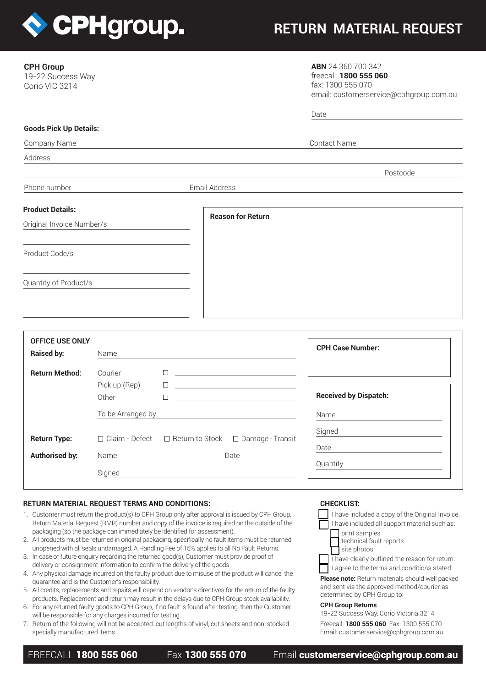

# **RETURN MATERIAL REQUEST**

| <b>CPH Group</b> |  |
|------------------|--|
|------------------|--|

19-22 Success Way Corio VIC 3214

**ABN** 24 360 700 342 freecall: **1800 555 060** fax: 1300 555 070 email: customerservice@cphgroup.com.au

|                               |                   |        |                                                       |                                                                                                                       | Date                         |  |
|-------------------------------|-------------------|--------|-------------------------------------------------------|-----------------------------------------------------------------------------------------------------------------------|------------------------------|--|
| <b>Goods Pick Up Details:</b> |                   |        |                                                       |                                                                                                                       |                              |  |
| Company Name                  |                   |        |                                                       |                                                                                                                       | <b>Contact Name</b>          |  |
| Address                       |                   |        |                                                       |                                                                                                                       |                              |  |
|                               |                   |        |                                                       |                                                                                                                       | Postcode                     |  |
| Phone number                  |                   |        | Email Address                                         |                                                                                                                       |                              |  |
| <b>Product Details:</b>       |                   |        |                                                       |                                                                                                                       |                              |  |
| Original Invoice Number/s     |                   |        |                                                       | <b>Reason for Return</b>                                                                                              |                              |  |
| Product Code/s                |                   |        |                                                       |                                                                                                                       |                              |  |
| Quantity of Product/s         |                   |        |                                                       |                                                                                                                       |                              |  |
|                               |                   |        |                                                       |                                                                                                                       |                              |  |
| <b>OFFICE USE ONLY</b>        |                   |        |                                                       |                                                                                                                       |                              |  |
| <b>Raised by:</b>             | Name              |        |                                                       |                                                                                                                       | <b>CPH Case Number:</b>      |  |
| <b>Return Method:</b>         | Courier           | П.     |                                                       | <u> 1990 - John Stein, Amerikaansk politiker (</u>                                                                    |                              |  |
|                               | Pick up (Rep)     | $\Box$ |                                                       | <u> 1999 - Johann Harry Harry Harry Harry Harry Harry Harry Harry Harry Harry Harry Harry Harry Harry Harry Harry</u> |                              |  |
|                               | Other             | □      |                                                       | <u> 1986 - Johann Stein, mars an deus Amerikaansk kommunister (</u>                                                   | <b>Received by Dispatch:</b> |  |
|                               | To be Arranged by |        |                                                       |                                                                                                                       | Name                         |  |
|                               |                   |        |                                                       |                                                                                                                       | Signed                       |  |
| <b>Return Type:</b>           |                   |        | □ Claim - Defect □ Return to Stock □ Damage - Transit |                                                                                                                       | Date                         |  |
| <b>Authorised by:</b>         | Name              |        |                                                       | Date                                                                                                                  |                              |  |

## **RETURN MATERIAL REQUEST TERMS AND CONDITIONS:**

**Signed** 

- 1. Customer must return the product(s) to CPH Group only after approval is issued by CPH Group. Return Material Request (RMR) number and copy of the invoice is required on the outside of the packaging (so the package can immediately be identified for assessment).
- 2. All products must be returned in original packaging, specifically no fault items must be returned unopened with all seals undamaged. A Handling Fee of 15% applies to all No Fault Returns.
- 3. In case of future enquiry regarding the returned good(s), Customer must provide proof of delivery or consignment information to confirm the delivery of the goods.
- 4. Any physical damage incurred on the faulty product due to misuse of the product will cancel the guarantee and is the Customer's responsibility.
- 5. All credits, replacements and repairs will depend on vendor's directives for the return of the faulty products. Replacement and return may result in the delays due to CPH Group stock availability.
- 6. For any returned faulty goods to CPH Group, if no fault is found after testing, then the Customer will be responsible for any charges incurred for testing.
- 7. Return of the following will not be accepted: cut lengths of vinyl, cut sheets and non-stocked specially manufactured items.

## **CHECKLIST:**

**Quantity** 

| I have included a copy of the Original Invoice.                            |
|----------------------------------------------------------------------------|
| I have included all support material such as:                              |
| print samples                                                              |
| technical fault reports                                                    |
| site photos                                                                |
| Thave clearly outlined the reason for return.                              |
| I agree to the terms and conditions stated.                                |
| Please note: Return materials should well packed                           |
| and sent via the approved method/courier as<br>determined by CPH Group to: |
|                                                                            |

#### **CPH Group Returns**

19-22 Success Way, Corio Victoria 3214 Freecall: **1800 555 060** Fax: 1300 555 070 Email: customerservice@cphgroup.com.au

FREECALL 1800 555 060 Fax 1300 555 070 Email customerservice@cphgroup.com.au